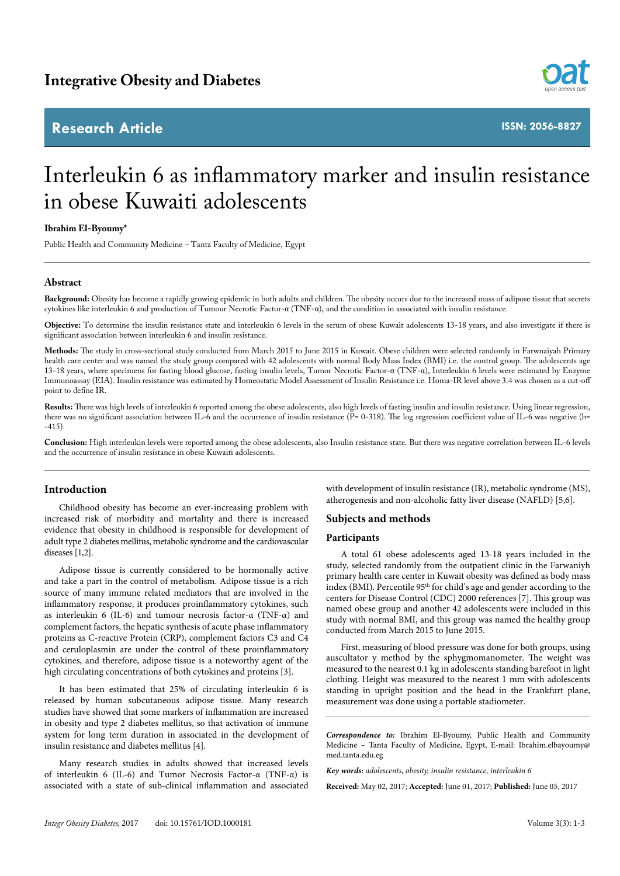## **Research Article**



**ISSN: 2056-8827**

# Interleukin 6 as inflammatory marker and insulin resistance in obese Kuwaiti adolescents

### **Ibrahim El-Byoumy\***

Public Health and Community Medicine – Tanta Faculty of Medicine, Egypt

### **Abstract**

**Background:** Obesity has become a rapidly growing epidemic in both adults and children. The obesity occurs due to the increased mass of adipose tissue that secrets cytokines like interleukin 6 and production of Tumour Necrotic Factor-α (TNF-α), and the condition in associated with insulin resistance.

**Objective:** To determine the insulin resistance state and interleukin 6 levels in the serum of obese Kuwait adolescents 13-18 years, and also investigate if there is significant association between interleukin 6 and insulin resistance.

**Methods:** The study in cross-sectional study conducted from March 2015 to June 2015 in Kuwait. Obese children were selected randomly in Farwnaiyah Primary health care center and was named the study group compared with 42 adolescents with normal Body Mass Index (BMI) i.e. the control group. The adolescents age 13-18 years, where specimens for fasting blood glucose, fasting insulin levels, Tumor Necrotic Factor-α (TNF-α), Interleukin 6 levels were estimated by Enzyme Immunoassay (EIA). Insulin resistance was estimated by Homeostatic Model Assessment of Insulin Resistance i.e. Homa-IR level above 3.4 was chosen as a cut-off point to define IR.

**Results:** There was high levels of interleukin 6 reported among the obese adolescents, also high levels of fasting insulin and insulin resistance. Using linear regression, there was no significant association between IL-6 and the occurrence of insulin resistance (P= 0-318). The log regression coefficient value of IL-6 was negative (b= -415).

**Conclusion:** High interleukin levels were reported among the obese adolescents, also Insulin resistance state. But there was negative correlation between IL-6 levels and the occurrence of insulin resistance in obese Kuwaiti adolescents.

### **Introduction**

Childhood obesity has become an ever-increasing problem with increased risk of morbidity and mortality and there is increased evidence that obesity in childhood is responsible for development of adult type 2 diabetes mellitus, metabolic syndrome and the cardiovascular diseases [1,2].

Adipose tissue is currently considered to be hormonally active and take a part in the control of metabolism. Adipose tissue is a rich source of many immune related mediators that are involved in the inflammatory response, it produces proinflammatory cytokines, such as interleukin 6 (IL-6) and tumour necrosis factor-α (TNF-α) and complement factors, the hepatic synthesis of acute phase inflammatory proteins as C-reactive Protein (CRP), complement factors C3 and C4 and ceruloplasmin are under the control of these proinflammatory cytokines, and therefore, adipose tissue is a noteworthy agent of the high circulating concentrations of both cytokines and proteins [3].

It has been estimated that 25% of circulating interleukin 6 is released by human subcutaneous adipose tissue. Many research studies have showed that some markers of inflammation are increased in obesity and type 2 diabetes mellitus, so that activation of immune system for long term duration in associated in the development of insulin resistance and diabetes mellitus [4].

Many research studies in adults showed that increased levels of interleukin 6 (IL-6) and Tumor Necrosis Factor-α (TNF-α) is associated with a state of sub-clinical inflammation and associated with development of insulin resistance (IR), metabolic syndrome (MS), atherogenesis and non-alcoholic fatty liver disease (NAFLD) [5,6].

#### **Subjects and methods**

#### **Participants**

A total 61 obese adolescents aged 13-18 years included in the study, selected randomly from the outpatient clinic in the Farwaniyh primary health care center in Kuwait obesity was defined as body mass index (BMI). Percentile 95th for child's age and gender according to the centers for Disease Control (CDC) 2000 references [7]. This group was named obese group and another 42 adolescents were included in this study with normal BMI, and this group was named the healthy group conducted from March 2015 to June 2015.

First, measuring of blood pressure was done for both groups, using auscultator y method by the sphygmomanometer. The weight was measured to the nearest 0.1 kg in adolescents standing barefoot in light clothing. Height was measured to the nearest 1 mm with adolescents standing in upright position and the head in the Frankfurt plane, measurement was done using a portable stadiometer.

*Correspondence to:* Ibrahim El-Byoumy, Public Health and Community Medicine – Tanta Faculty of Medicine, Egypt, E-mail: Ibrahim.elbayoumy@ med.tanta.edu.eg

*Key words: adolescents, obesity, insulin resistance, interleukin 6*

**Received:** May 02, 2017; **Accepted:** June 01, 2017; **Published:** June 05, 2017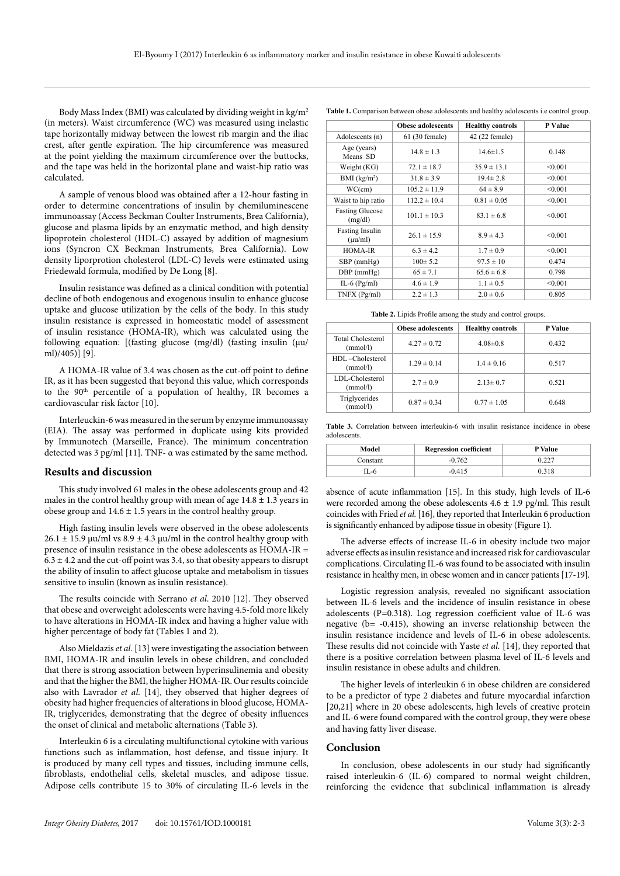Body Mass Index (BMI) was calculated by dividing weight in kg/m2 (in meters). Waist circumference (WC) was measured using inelastic tape horizontally midway between the lowest rib margin and the iliac crest, after gentle expiration. The hip circumference was measured at the point yielding the maximum circumference over the buttocks, and the tape was held in the horizontal plane and waist-hip ratio was calculated.

A sample of venous blood was obtained after a 12-hour fasting in order to determine concentrations of insulin by chemiluminescene immunoassay (Access Beckman Coulter Instruments, Brea California), glucose and plasma lipids by an enzymatic method, and high density lipoprotein cholesterol (HDL-C) assayed by addition of magnesium ions (Syncron CX Beckman Instruments, Brea California). Low density liporprotion cholesterol (LDL-C) levels were estimated using Friedewald formula, modified by De Long [8].

Insulin resistance was defined as a clinical condition with potential decline of both endogenous and exogenous insulin to enhance glucose uptake and glucose utilization by the cells of the body. In this study insulin resistance is expressed in homeostatic model of assessment of insulin resistance (HOMA-IR), which was calculated using the following equation:  $[(\text{fasting glucose (mg/dl) (fasting insulin (µu/m))))$ ml)/405)] [9].

A HOMA-IR value of 3.4 was chosen as the cut-off point to define IR, as it has been suggested that beyond this value, which corresponds to the 90<sup>th</sup> percentile of a population of healthy, IR becomes a cardiovascular risk factor [10].

Interleuckin-6 was measured in the serum by enzyme immunoassay (EIA). The assay was performed in duplicate using kits provided by Immunotech (Marseille, France). The minimum concentration detected was 3 pg/ml [11]. TNF- α was estimated by the same method.

#### **Results and discussion**

This study involved 61 males in the obese adolescents group and 42 males in the control healthy group with mean of age  $14.8 \pm 1.3$  years in obese group and  $14.6 \pm 1.5$  years in the control healthy group.

High fasting insulin levels were observed in the obese adolescents  $26.1 \pm 15.9$  µu/ml vs  $8.9 \pm 4.3$  µu/ml in the control healthy group with presence of insulin resistance in the obese adolescents as HOMA-IR =  $6.3 \pm 4.2$  and the cut-off point was 3.4, so that obesity appears to disrupt the ability of insulin to affect glucose uptake and metabolism in tissues sensitive to insulin (known as insulin resistance).

The results coincide with Serrano *et al*. 2010 [12]. They observed that obese and overweight adolescents were having 4.5-fold more likely to have alterations in HOMA-IR index and having a higher value with higher percentage of body fat (Tables 1 and 2).

Also Mieldazis *et al.* [13] were investigating the association between BMI, HOMA-IR and insulin levels in obese children, and concluded that there is strong association between hyperinsulinemia and obesity and that the higher the BMI, the higher HOMA-IR. Our results coincide also with Lavrador *et al.* [14], they observed that higher degrees of obesity had higher frequencies of alterations in blood glucose, HOMA-IR, triglycerides, demonstrating that the degree of obesity influences the onset of clinical and metabolic alternations (Table 3).

Interleukin 6 is a circulating multifunctional cytokine with various functions such as inflammation, host defense, and tissue injury. It is produced by many cell types and tissues, including immune cells, fibroblasts, endothelial cells, skeletal muscles, and adipose tissue. Adipose cells contribute 15 to 30% of circulating IL-6 levels in the

**Table 1.** Comparison between obese adolescents and healthy adolescents i.e control group.

|                                         | <b>Obese adolescents</b> | <b>Healthy controls</b> | P Value |
|-----------------------------------------|--------------------------|-------------------------|---------|
| Adolescents (n)                         | $61(30$ female)          | 42 (22 female)          |         |
| Age (years)<br>Means SD                 | $14.8 \pm 1.3$           | $14.6 \pm 1.5$          | 0.148   |
| Weight (KG)                             | $72.1 \pm 18.7$          | $35.9 \pm 13.1$         | < 0.001 |
| BMI (kg/m <sup>2</sup> )                | $31.8 \pm 3.9$           | $19.4 \pm 2.8$          | < 0.001 |
| WC(cm)                                  | $105.2 \pm 11.9$         | $64 \pm 8.9$            | < 0.001 |
| Waist to hip ratio                      | $112.2 \pm 10.4$         | $0.81 \pm 0.05$         | < 0.001 |
| <b>Fasting Glucose</b><br>(mg/dl)       | $101.1 \pm 10.3$         | $83.1 \pm 6.8$          | < 0.001 |
| <b>Fasting Insulin</b><br>$(\mu\mu/ml)$ | $26.1 \pm 15.9$          | $8.9 \pm 4.3$           | < 0.001 |
| HOMA-IR                                 | $6.3 \pm 4.2$            | $1.7 \pm 0.9$           | < 0.001 |
| $SBP$ (mm $Hg$ )                        | $100 \pm 5.2$            | $97.5 \pm 10$           | 0.474   |
| $DBP$ (mmHg)                            | $65 \pm 7.1$             | $65.6 \pm 6.8$          | 0.798   |
| IL-6 $(Pg/ml)$                          | $4.6 \pm 1.9$            | $1.1 \pm 0.5$           | < 0.001 |
| TNFX (Pg/ml)                            | $2.2 \pm 1.3$            | $2.0 \pm 0.6$           | 0.805   |

**Table 2.** Lipids Profile among the study and control groups.

|                                      | <b>Obese adolescents</b> | <b>Healthy controls</b> | <b>P</b> Value |
|--------------------------------------|--------------------------|-------------------------|----------------|
| <b>Total Cholesterol</b><br>(mmol/l) | $4.27 \pm 0.72$          | $4.08\pm0.8$            | 0.432          |
| HDL-Cholesterol<br>(mmol/l)          | $1.29 \pm 0.14$          | $1.4 \pm 0.16$          | 0.517          |
| LDL-Cholesterol<br>(mmol/l)          | $2.7 \pm 0.9$            | $2.13 \pm 0.7$          | 0.521          |
| Triglycerides<br>(mmol/l)            | $0.87 \pm 0.34$          | $0.77 \pm 1.05$         | 0.648          |

**Table 3.** Correlation between interleukin-6 with insulin resistance incidence in obese adolescents.

| Model    | <b>Regression coefficient</b> | <b>P</b> Value |
|----------|-------------------------------|----------------|
| Constant | $-0.762$                      | 0.227          |
| T.-6     | $-0.415$                      | 0.318          |

absence of acute inflammation [15]. In this study, high levels of IL-6 were recorded among the obese adolescents  $4.6 \pm 1.9$  pg/ml. This result coincides with Fried *et al.* [16], they reported that Interleukin 6 production is significantly enhanced by adipose tissue in obesity (Figure 1).

The adverse effects of increase IL-6 in obesity include two major adverse effects as insulin resistance and increased risk for cardiovascular complications. Circulating IL-6 was found to be associated with insulin resistance in healthy men, in obese women and in cancer patients [17-19].

Logistic regression analysis, revealed no significant association between IL-6 levels and the incidence of insulin resistance in obese adolescents (P=0.318). Log regression coefficient value of IL-6 was negative (b= -0.415), showing an inverse relationship between the insulin resistance incidence and levels of IL-6 in obese adolescents. These results did not coincide with Yaste *et al.* [14], they reported that there is a positive correlation between plasma level of IL-6 levels and insulin resistance in obese adults and children.

The higher levels of interleukin 6 in obese children are considered to be a predictor of type 2 diabetes and future myocardial infarction [20,21] where in 20 obese adolescents, high levels of creative protein and IL-6 were found compared with the control group, they were obese and having fatty liver disease.

#### **Conclusion**

In conclusion, obese adolescents in our study had significantly raised interleukin-6 (IL-6) compared to normal weight children, reinforcing the evidence that subclinical inflammation is already